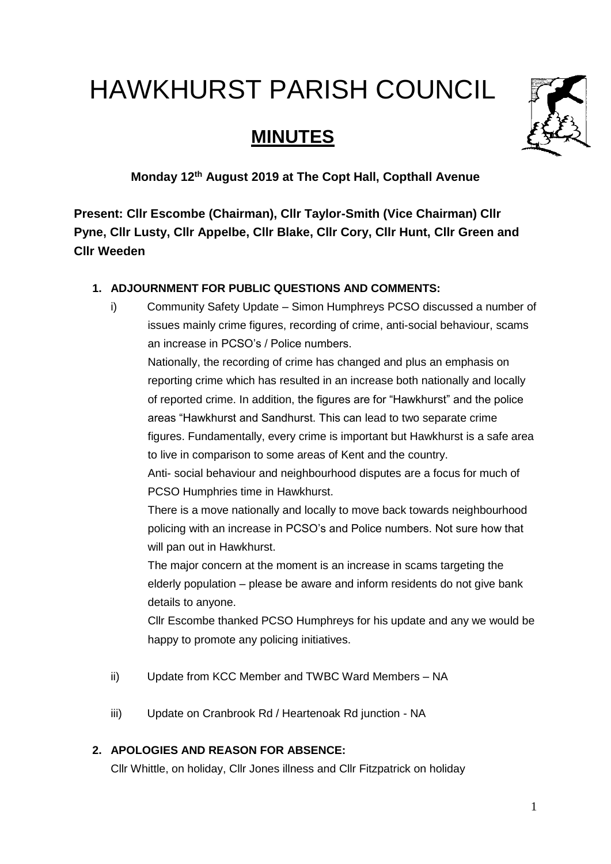# HAWKHURST PARISH COUNCIL

# **MINUTES**



**Monday 12th August 2019 at The Copt Hall, Copthall Avenue** 

**Present: Cllr Escombe (Chairman), Cllr Taylor-Smith (Vice Chairman) Cllr Pyne, Cllr Lusty, Cllr Appelbe, Cllr Blake, Cllr Cory, Cllr Hunt, Cllr Green and Cllr Weeden**

# **1. ADJOURNMENT FOR PUBLIC QUESTIONS AND COMMENTS:**

i) Community Safety Update – Simon Humphreys PCSO discussed a number of issues mainly crime figures, recording of crime, anti-social behaviour, scams an increase in PCSO's / Police numbers.

Nationally, the recording of crime has changed and plus an emphasis on reporting crime which has resulted in an increase both nationally and locally of reported crime. In addition, the figures are for "Hawkhurst" and the police areas "Hawkhurst and Sandhurst. This can lead to two separate crime figures. Fundamentally, every crime is important but Hawkhurst is a safe area to live in comparison to some areas of Kent and the country.

Anti- social behaviour and neighbourhood disputes are a focus for much of PCSO Humphries time in Hawkhurst.

There is a move nationally and locally to move back towards neighbourhood policing with an increase in PCSO's and Police numbers. Not sure how that will pan out in Hawkhurst.

The major concern at the moment is an increase in scams targeting the elderly population – please be aware and inform residents do not give bank details to anyone.

Cllr Escombe thanked PCSO Humphreys for his update and any we would be happy to promote any policing initiatives.

- ii) Update from KCC Member and TWBC Ward Members NA
- iii) Update on Cranbrook Rd / Heartenoak Rd junction NA

# **2. APOLOGIES AND REASON FOR ABSENCE:**

Cllr Whittle, on holiday, Cllr Jones illness and Cllr Fitzpatrick on holiday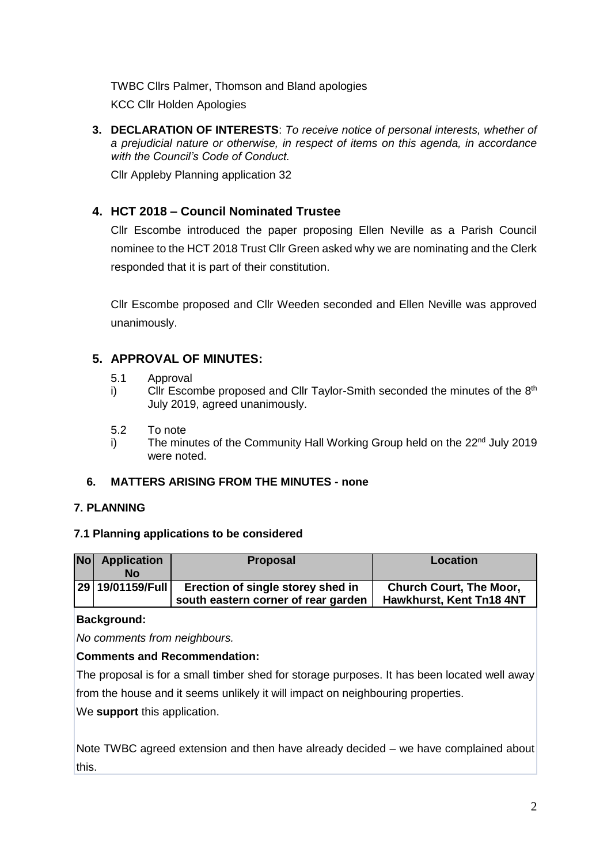TWBC Cllrs Palmer, Thomson and Bland apologies

KCC Cllr Holden Apologies

**3. DECLARATION OF INTERESTS**: *To receive notice of personal interests, whether of a prejudicial nature or otherwise, in respect of items on this agenda, in accordance with the Council's Code of Conduct.*

Cllr Appleby Planning application 32

# **4. HCT 2018 – Council Nominated Trustee**

Cllr Escombe introduced the paper proposing Ellen Neville as a Parish Council nominee to the HCT 2018 Trust Cllr Green asked why we are nominating and the Clerk responded that it is part of their constitution.

Cllr Escombe proposed and Cllr Weeden seconded and Ellen Neville was approved unanimously.

# **5. APPROVAL OF MINUTES:**

- 5.1 Approval
- i) Cllr Escombe proposed and Cllr Taylor-Smith seconded the minutes of the  $8<sup>th</sup>$ July 2019, agreed unanimously.
- 5.2 To note
- i) The minutes of the Community Hall Working Group held on the  $22<sup>nd</sup>$  July 2019 were noted.

#### **6. MATTERS ARISING FROM THE MINUTES - none**

#### **7. PLANNING**

#### **7.1 Planning applications to be considered**

| <b>No</b> | <b>Application</b><br>Nο | <b>Proposal</b>                                                          | Location                                                   |  |  |  |
|-----------|--------------------------|--------------------------------------------------------------------------|------------------------------------------------------------|--|--|--|
|           | 29   19/01159/Full       | Erection of single storey shed in<br>south eastern corner of rear garden | <b>Church Court, The Moor,</b><br>Hawkhurst, Kent Tn18 4NT |  |  |  |

#### **Background:**

*No comments from neighbours.*

#### **Comments and Recommendation:**

The proposal is for a small timber shed for storage purposes. It has been located well away from the house and it seems unlikely it will impact on neighbouring properties.

We **support** this application.

Note TWBC agreed extension and then have already decided – we have complained about this.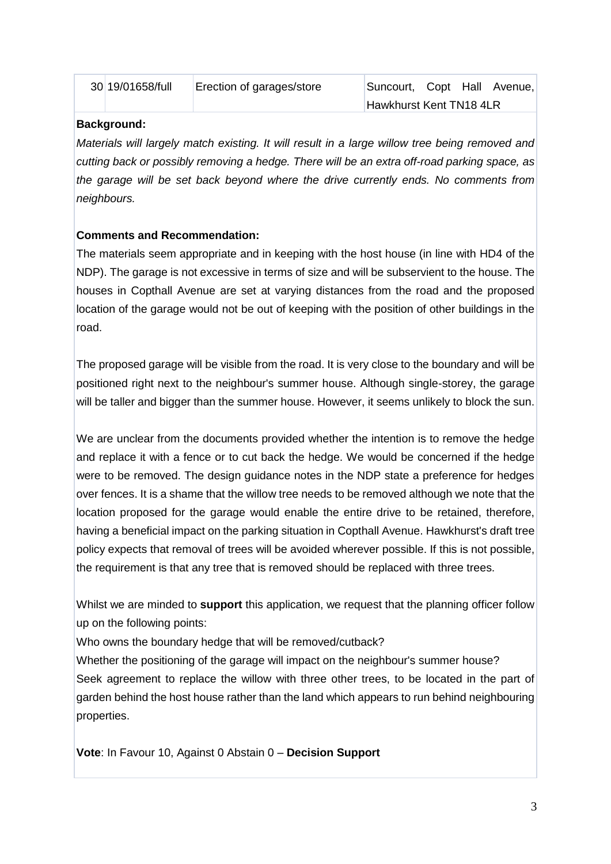| 30 19/01658/full | Erection of garages/store | Suncourt, Copt Hall     |  | Avenue.l |
|------------------|---------------------------|-------------------------|--|----------|
|                  |                           | Hawkhurst Kent TN18 4LR |  |          |

#### **Background:**

*Materials will largely match existing. It will result in a large willow tree being removed and cutting back or possibly removing a hedge. There will be an extra off-road parking space, as the garage will be set back beyond where the drive currently ends. No comments from neighbours.* 

#### **Comments and Recommendation:**

The materials seem appropriate and in keeping with the host house (in line with HD4 of the NDP). The garage is not excessive in terms of size and will be subservient to the house. The houses in Copthall Avenue are set at varying distances from the road and the proposed location of the garage would not be out of keeping with the position of other buildings in the road.

The proposed garage will be visible from the road. It is very close to the boundary and will be positioned right next to the neighbour's summer house. Although single-storey, the garage will be taller and bigger than the summer house. However, it seems unlikely to block the sun.

We are unclear from the documents provided whether the intention is to remove the hedge and replace it with a fence or to cut back the hedge. We would be concerned if the hedge were to be removed. The design guidance notes in the NDP state a preference for hedges over fences. It is a shame that the willow tree needs to be removed although we note that the location proposed for the garage would enable the entire drive to be retained, therefore, having a beneficial impact on the parking situation in Copthall Avenue. Hawkhurst's draft tree policy expects that removal of trees will be avoided wherever possible. If this is not possible, the requirement is that any tree that is removed should be replaced with three trees.

Whilst we are minded to **support** this application, we request that the planning officer follow up on the following points:

Who owns the boundary hedge that will be removed/cutback?

Whether the positioning of the garage will impact on the neighbour's summer house? Seek agreement to replace the willow with three other trees, to be located in the part of garden behind the host house rather than the land which appears to run behind neighbouring properties.

**Vote**: In Favour 10, Against 0 Abstain 0 – **Decision Support**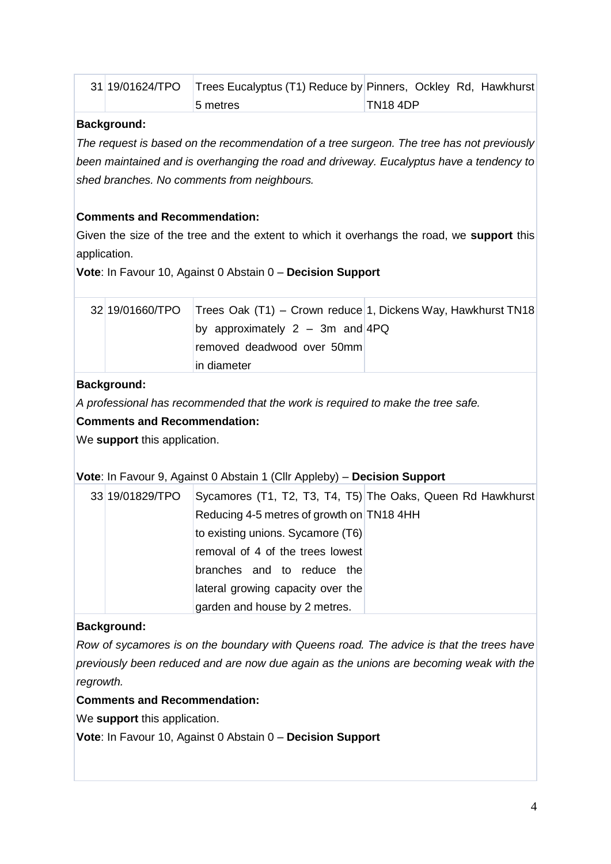| 31 19/01624/TPO | Trees Eucalyptus (T1) Reduce by Pinners, Ockley Rd, Hawkhurst |         |  |  |
|-----------------|---------------------------------------------------------------|---------|--|--|
|                 | <b>5 metres</b>                                               | TN184DP |  |  |

#### **Background:**

*The request is based on the recommendation of a tree surgeon. The tree has not previously been maintained and is overhanging the road and driveway. Eucalyptus have a tendency to shed branches. No comments from neighbours.*

#### **Comments and Recommendation:**

Given the size of the tree and the extent to which it overhangs the road, we **support** this application.

**Vote**: In Favour 10, Against 0 Abstain 0 – **Decision Support**

|  |                                     | 32 19/01660/TPO Trees Oak (T1) – Crown reduce 1, Dickens Way, Hawkhurst TN18 |
|--|-------------------------------------|------------------------------------------------------------------------------|
|  | by approximately $2 - 3m$ and $4PQ$ |                                                                              |
|  | removed deadwood over 50mm          |                                                                              |
|  | lin diameter                        |                                                                              |

#### **Background:**

*A professional has recommended that the work is required to make the tree safe.*

#### **Comments and Recommendation:**

We **support** this application.

#### **Vote**: In Favour 9, Against 0 Abstain 1 (Cllr Appleby) – **Decision Support**

| 33 19/01829/TPO |                                           | Sycamores (T1, T2, T3, T4, T5) The Oaks, Queen Rd Hawkhurst |
|-----------------|-------------------------------------------|-------------------------------------------------------------|
|                 | Reducing 4-5 metres of growth on TN18 4HH |                                                             |
|                 | to existing unions. Sycamore (T6)         |                                                             |
|                 | removal of 4 of the trees lowest          |                                                             |
|                 | branches and to reduce the                |                                                             |
|                 | lateral growing capacity over the         |                                                             |
|                 | garden and house by 2 metres.             |                                                             |

#### **Background:**

*Row of sycamores is on the boundary with Queens road. The advice is that the trees have previously been reduced and are now due again as the unions are becoming weak with the regrowth.*

#### **Comments and Recommendation:**

We **support** this application.

**Vote**: In Favour 10, Against 0 Abstain 0 – **Decision Support**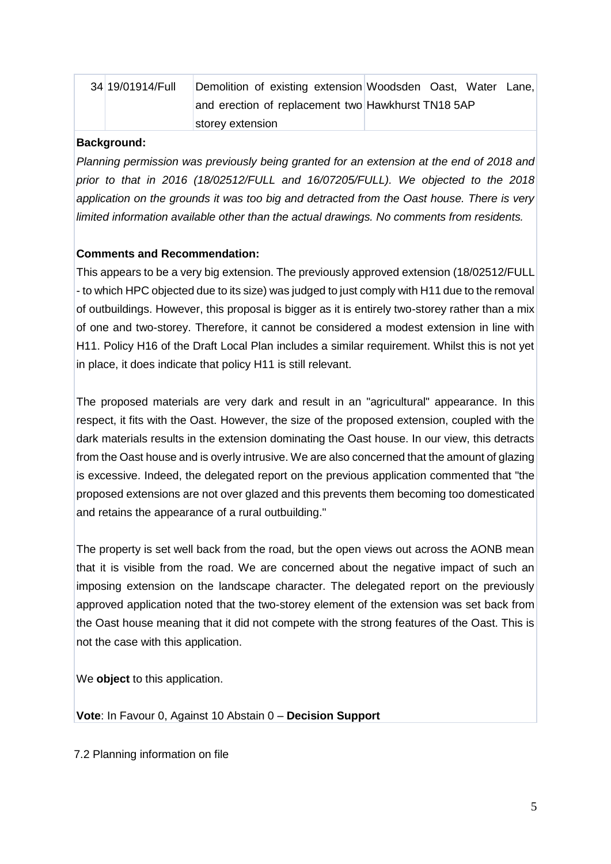| 34 19/01914/Full | Demolition of existing extension Woodsden Oast, Water Lane, |  |  |  |
|------------------|-------------------------------------------------------------|--|--|--|
|                  | and erection of replacement two Hawkhurst TN18 5AP          |  |  |  |
|                  | storey extension                                            |  |  |  |

#### **Background:**

*Planning permission was previously being granted for an extension at the end of 2018 and prior to that in 2016 (18/02512/FULL and 16/07205/FULL). We objected to the 2018 application on the grounds it was too big and detracted from the Oast house. There is very limited information available other than the actual drawings. No comments from residents.*

#### **Comments and Recommendation:**

This appears to be a very big extension. The previously approved extension (18/02512/FULL - to which HPC objected due to its size) was judged to just comply with H11 due to the removal of outbuildings. However, this proposal is bigger as it is entirely two-storey rather than a mix of one and two-storey. Therefore, it cannot be considered a modest extension in line with H11. Policy H16 of the Draft Local Plan includes a similar requirement. Whilst this is not yet in place, it does indicate that policy H11 is still relevant.

The proposed materials are very dark and result in an "agricultural" appearance. In this respect, it fits with the Oast. However, the size of the proposed extension, coupled with the dark materials results in the extension dominating the Oast house. In our view, this detracts from the Oast house and is overly intrusive. We are also concerned that the amount of glazing is excessive. Indeed, the delegated report on the previous application commented that "the proposed extensions are not over glazed and this prevents them becoming too domesticated and retains the appearance of a rural outbuilding."

The property is set well back from the road, but the open views out across the AONB mean that it is visible from the road. We are concerned about the negative impact of such an imposing extension on the landscape character. The delegated report on the previously approved application noted that the two-storey element of the extension was set back from the Oast house meaning that it did not compete with the strong features of the Oast. This is not the case with this application.

We **object** to this application.

**Vote**: In Favour 0, Against 10 Abstain 0 – **Decision Support**

7.2 Planning information on file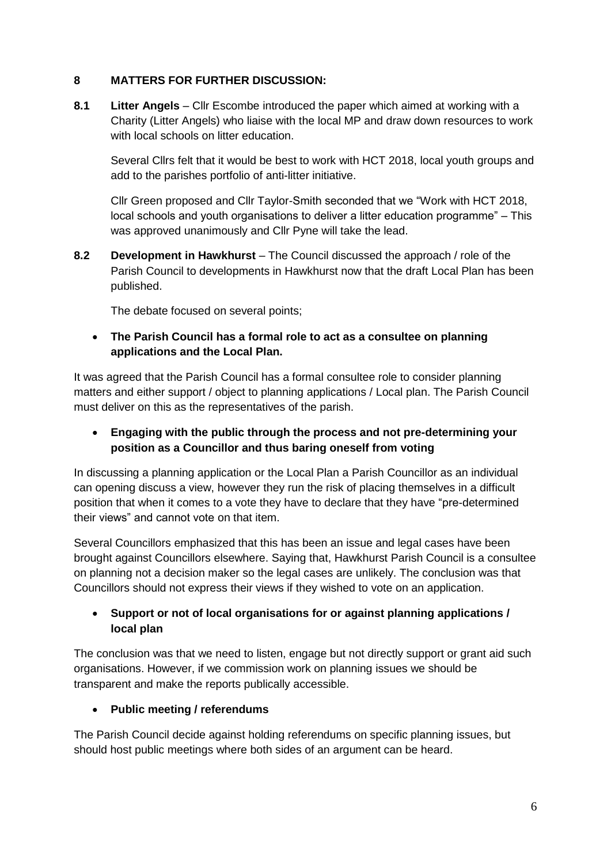#### **8 MATTERS FOR FURTHER DISCUSSION:**

**8.1 Litter Angels** – Cllr Escombe introduced the paper which aimed at working with a Charity (Litter Angels) who liaise with the local MP and draw down resources to work with local schools on litter education.

Several Cllrs felt that it would be best to work with HCT 2018, local youth groups and add to the parishes portfolio of anti-litter initiative.

Cllr Green proposed and Cllr Taylor-Smith seconded that we "Work with HCT 2018, local schools and youth organisations to deliver a litter education programme" – This was approved unanimously and Cllr Pyne will take the lead.

**8.2 Development in Hawkhurst** – The Council discussed the approach / role of the Parish Council to developments in Hawkhurst now that the draft Local Plan has been published.

The debate focused on several points;

 **The Parish Council has a formal role to act as a consultee on planning applications and the Local Plan.**

It was agreed that the Parish Council has a formal consultee role to consider planning matters and either support / object to planning applications / Local plan. The Parish Council must deliver on this as the representatives of the parish.

 **Engaging with the public through the process and not pre-determining your position as a Councillor and thus baring oneself from voting**

In discussing a planning application or the Local Plan a Parish Councillor as an individual can opening discuss a view, however they run the risk of placing themselves in a difficult position that when it comes to a vote they have to declare that they have "pre-determined their views" and cannot vote on that item.

Several Councillors emphasized that this has been an issue and legal cases have been brought against Councillors elsewhere. Saying that, Hawkhurst Parish Council is a consultee on planning not a decision maker so the legal cases are unlikely. The conclusion was that Councillors should not express their views if they wished to vote on an application.

### **Support or not of local organisations for or against planning applications / local plan**

The conclusion was that we need to listen, engage but not directly support or grant aid such organisations. However, if we commission work on planning issues we should be transparent and make the reports publically accessible.

#### **Public meeting / referendums**

The Parish Council decide against holding referendums on specific planning issues, but should host public meetings where both sides of an argument can be heard.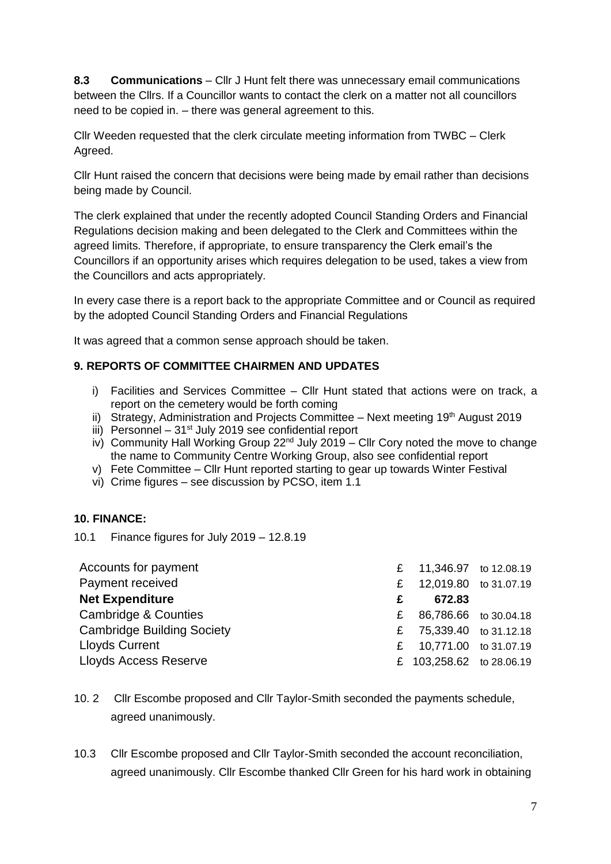**8.3 Communications** – Cllr J Hunt felt there was unnecessary email communications between the Cllrs. If a Councillor wants to contact the clerk on a matter not all councillors need to be copied in. – there was general agreement to this.

Cllr Weeden requested that the clerk circulate meeting information from TWBC – Clerk Agreed.

Cllr Hunt raised the concern that decisions were being made by email rather than decisions being made by Council.

The clerk explained that under the recently adopted Council Standing Orders and Financial Regulations decision making and been delegated to the Clerk and Committees within the agreed limits. Therefore, if appropriate, to ensure transparency the Clerk email's the Councillors if an opportunity arises which requires delegation to be used, takes a view from the Councillors and acts appropriately.

In every case there is a report back to the appropriate Committee and or Council as required by the adopted Council Standing Orders and Financial Regulations

It was agreed that a common sense approach should be taken.

#### **9. REPORTS OF COMMITTEE CHAIRMEN AND UPDATES**

- i) Facilities and Services Committee Cllr Hunt stated that actions were on track, a report on the cemetery would be forth coming
- ii) Strategy, Administration and Projects Committee  $-$  Next meeting 19<sup>th</sup> August 2019
- iii) Personnel  $-31<sup>st</sup>$  July 2019 see confidential report
- iv) Community Hall Working Group  $22^{nd}$  July 2019 Cllr Cory noted the move to change the name to Community Centre Working Group, also see confidential report
- v) Fete Committee Cllr Hunt reported starting to gear up towards Winter Festival
- vi) Crime figures see discussion by PCSO, item 1.1

#### **10. FINANCE:**

10.1 Finance figures for July 2019 – 12.8.19

| £ 11,346.97 to 12.08.19  |
|--------------------------|
| 12,019.80 to 31.07.19    |
|                          |
| 86,786.66 to 30.04.18    |
| £ 75,339.40 to 31.12.18  |
| £ 10,771.00 to 31.07.19  |
| £ 103,258.62 to 28.06.19 |
|                          |

- 10. 2 Cllr Escombe proposed and Cllr Taylor-Smith seconded the payments schedule, agreed unanimously.
- 10.3 Cllr Escombe proposed and Cllr Taylor-Smith seconded the account reconciliation, agreed unanimously. Cllr Escombe thanked Cllr Green for his hard work in obtaining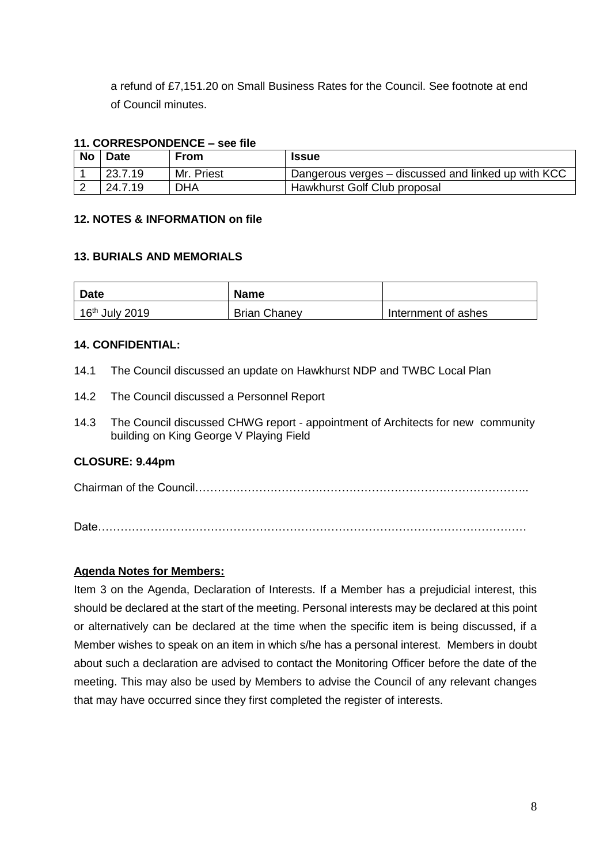a refund of £7,151.20 on Small Business Rates for the Council. See footnote at end of Council minutes.

#### **11. CORRESPONDENCE – see file**

| No | <b>Date</b> | <b>From</b> | <b>Issue</b>                                        |  |  |
|----|-------------|-------------|-----------------------------------------------------|--|--|
|    | 23.7.19     | Mr. Priest  | Dangerous verges – discussed and linked up with KCC |  |  |
|    | 24.7.19     | <b>DHA</b>  | Hawkhurst Golf Club proposal                        |  |  |

#### **12. NOTES & INFORMATION on file**

#### **13. BURIALS AND MEMORIALS**

| <b>Date</b>                | <b>Name</b>         |                     |
|----------------------------|---------------------|---------------------|
| 16 <sup>th</sup> July 2019 | <b>Brian Chaney</b> | Internment of ashes |

#### **14. CONFIDENTIAL:**

- 14.1 The Council discussed an update on Hawkhurst NDP and TWBC Local Plan
- 14.2 The Council discussed a Personnel Report
- 14.3 The Council discussed CHWG report appointment of Architects for new community building on King George V Playing Field

#### **CLOSURE: 9.44pm**

Chairman of the Council……………………………………………………………………………..

Date……………………………………………………………………………………………………

#### **Agenda Notes for Members:**

Item 3 on the Agenda, Declaration of Interests. If a Member has a prejudicial interest, this should be declared at the start of the meeting. Personal interests may be declared at this point or alternatively can be declared at the time when the specific item is being discussed, if a Member wishes to speak on an item in which s/he has a personal interest. Members in doubt about such a declaration are advised to contact the Monitoring Officer before the date of the meeting. This may also be used by Members to advise the Council of any relevant changes that may have occurred since they first completed the register of interests.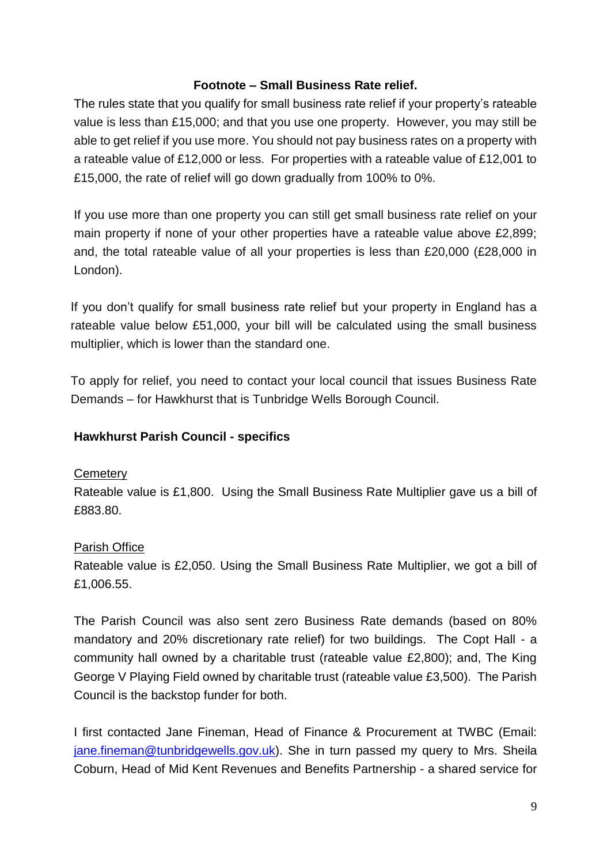# **Footnote – Small Business Rate relief.**

The rules state that you qualify for small business rate relief if your property's rateable value is less than £15,000; and that you use one property. However, you may still be able to get relief if you use more. You should not pay business rates on a property with a rateable value of £12,000 or less. For properties with a rateable value of £12,001 to £15,000, the rate of relief will go down gradually from 100% to 0%.

If you use more than one property you can still get small business rate relief on your main property if none of your other properties have a rateable value above £2,899; and, the total rateable value of all your properties is less than £20,000 (£28,000 in London).

If you don't qualify for small business rate relief but your property in England has a rateable value below £51,000, your bill will be calculated using the small business multiplier, which is lower than the standard one.

To apply for relief, you need to contact your local council that issues Business Rate Demands – for Hawkhurst that is Tunbridge Wells Borough Council.

# **Hawkhurst Parish Council - specifics**

#### **Cemetery**

Rateable value is £1,800. Using the Small Business Rate Multiplier gave us a bill of £883.80.

# Parish Office

Rateable value is £2,050. Using the Small Business Rate Multiplier, we got a bill of £1,006.55.

The Parish Council was also sent zero Business Rate demands (based on 80% mandatory and 20% discretionary rate relief) for two buildings. The Copt Hall - a community hall owned by a charitable trust (rateable value £2,800); and, The King George V Playing Field owned by charitable trust (rateable value £3,500). The Parish Council is the backstop funder for both.

I first contacted Jane Fineman, Head of Finance & Procurement at TWBC (Email: [jane.fineman@tunbridgewells.gov.uk\)](mailto:jane.fineman@tunbridgewells.gov.uk). She in turn passed my query to Mrs. Sheila Coburn, Head of Mid Kent Revenues and Benefits Partnership - a shared service for